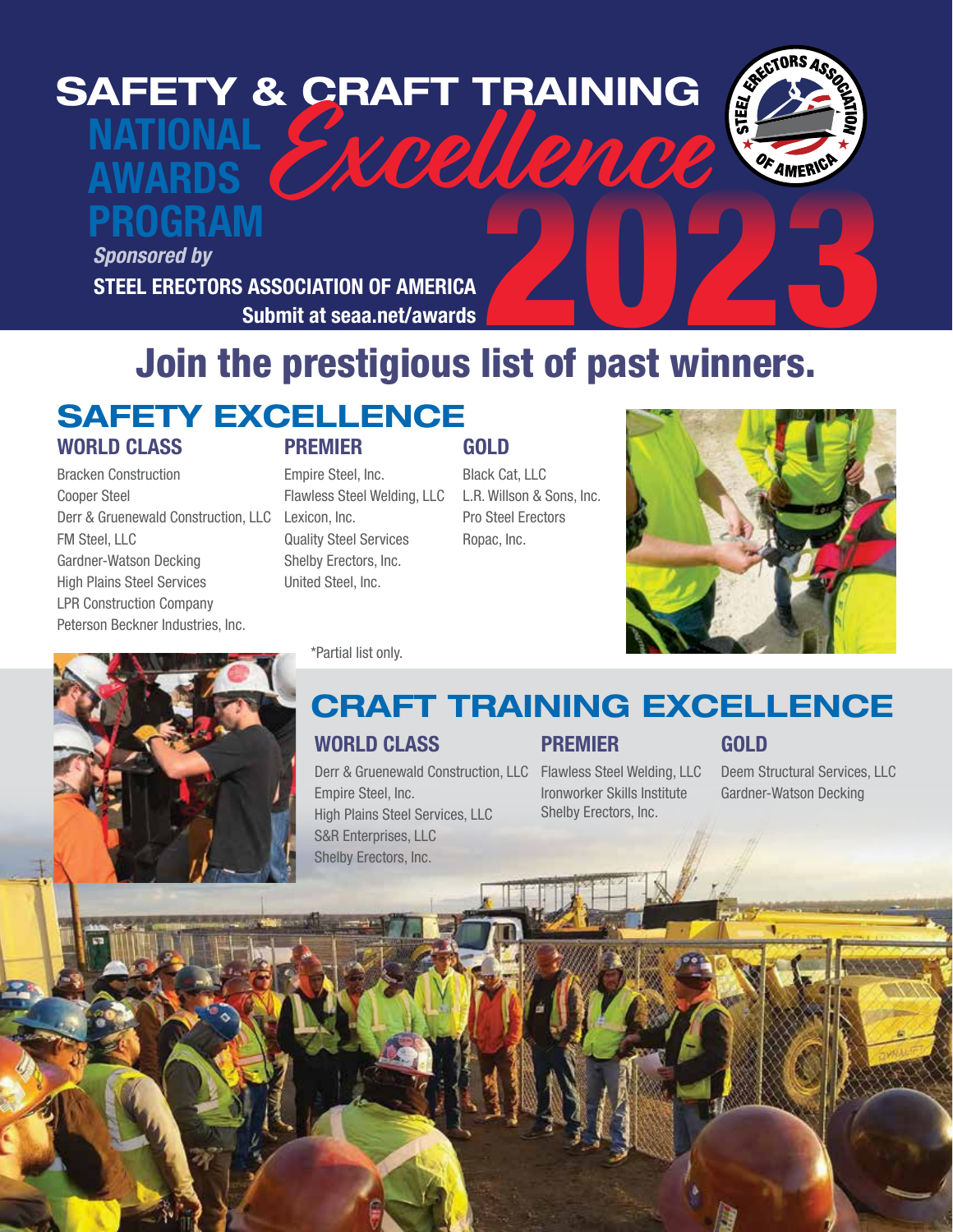# NATIONAL SAFETY & CRAFT TRAINING<br>
MATIONAL<br>
AWARDS<br>
PROGRAM



## AWARDS PROGRAM

STEEL ERECTORS ASSOCIATION OF AMERICA Submit at seaa.net/awards *Sponsored by*

# 2020 Join the prestigious list of past winners.

### WORLD CLASS SAFETY EXCELLENCE

Bracken Construction Cooper Steel Derr & Gruenewald Construction, LLC Lexicon, Inc. FM Steel, LLC Gardner-Watson Decking High Plains Steel Services LPR Construction Company Peterson Beckner Industries, Inc.

### PREMIER

### Empire Steel, Inc. Flawless Steel Welding, LLC Quality Steel Services Shelby Erectors, Inc. United Steel, Inc.

\*Partial list only.

### GOLD Black Cat, LLC

L.R. Willson & Sons, Inc. Pro Steel Erectors Ropac, Inc.





### WORLD CLASS CRAFT TRAINING EXCELLENCE

Derr & Gruenewald Construction, LLC Flawless Steel Welding, LLC Empire Steel, Inc. High Plains Steel Services, LLC S&R Enterprises, LLC Shelby Erectors, Inc.

### PREMIER

Ironworker Skills Institute Shelby Erectors, Inc.

### GOLD

Deem Structural Services, LLC Gardner-Watson Decking